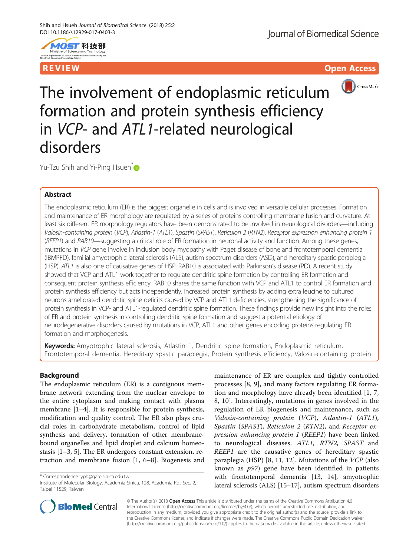

R EVI EW Open Access and the contract of the contract of the contract of the contract of the contract of the c



The involvement of endoplasmic reticulum formation and protein synthesis efficiency in VCP- and ATL1-related neurological disorders

Yu-Tzu Shih and Yi-Ping Hsueh<sup>\*</sup>

# Abstract

The endoplasmic reticulum (ER) is the biggest organelle in cells and is involved in versatile cellular processes. Formation and maintenance of ER morphology are regulated by a series of proteins controlling membrane fusion and curvature. At least six different ER morphology regulators have been demonstrated to be involved in neurological disorders—including Valosin-containing protein (VCP), Atlastin-1 (ATL1), Spastin (SPAST), Reticulon 2 (RTN2), Receptor expression enhancing protein 1 (REEP1) and RAB10—suggesting a critical role of ER formation in neuronal activity and function. Among these genes, mutations in VCP gene involve in inclusion body myopathy with Paget disease of bone and frontotemporal dementia (IBMPFD), familial amyotrophic lateral sclerosis (ALS), autism spectrum disorders (ASD), and hereditary spastic paraplegia (HSP). ATL1 is also one of causative genes of HSP. RAB10 is associated with Parkinson's disease (PD). A recent study showed that VCP and ATL1 work together to regulate dendritic spine formation by controlling ER formation and consequent protein synthesis efficiency. RAB10 shares the same function with VCP and ATL1 to control ER formation and protein synthesis efficiency but acts independently. Increased protein synthesis by adding extra leucine to cultured neurons ameliorated dendritic spine deficits caused by VCP and ATL1 deficiencies, strengthening the significance of protein synthesis in VCP- and ATL1-regulated dendritic spine formation. These findings provide new insight into the roles of ER and protein synthesis in controlling dendritic spine formation and suggest a potential etiology of neurodegenerative disorders caused by mutations in VCP, ATL1 and other genes encoding proteins regulating ER formation and morphogenesis.

Keywords: Amyotrophic lateral sclerosis, Atlastin 1, Dendritic spine formation, Endoplasmic reticulum, Frontotemporal dementia, Hereditary spastic paraplegia, Protein synthesis efficiency, Valosin-containing protein

## Background

The endoplasmic reticulum (ER) is a contiguous membrane network extending from the nuclear envelope to the entire cytoplasm and making contact with plasma membrane [\[1](#page-4-0)–[4](#page-4-0)]. It is responsible for protein synthesis, modification and quality control. The ER also plays crucial roles in carbohydrate metabolism, control of lipid synthesis and delivery, formation of other membranebound organelles and lipid droplet and calcium homeostasis [\[1](#page-4-0)–[3](#page-4-0), [5](#page-4-0)]. The ER undergoes constant extension, retraction and membrane fusion [\[1](#page-4-0), [6](#page-4-0)–[8](#page-4-0)]. Biogenesis and

\* Correspondence: [yph@gate.sinica.edu.tw](mailto:yph@gate.sinica.edu.tw)

maintenance of ER are complex and tightly controlled processes [[8, 9\]](#page-4-0), and many factors regulating ER formation and morphology have already been identified [[1, 7](#page-4-0), [8, 10](#page-4-0)]. Interestingly, mutations in genes involved in the regulation of ER biogenesis and maintenance, such as Valosin-containing protein (VCP), Atlastin-1 (ATL1), Spastin (SPAST), Reticulon 2 (RTN2), and Receptor expression enhancing protein 1 (REEP1) have been linked to neurological diseases. ATL1, RTN2, SPAST and REEP1 are the causative genes of hereditary spastic paraplegia (HSP) [[8](#page-4-0), [11](#page-4-0), [12](#page-4-0)]. Mutations of the VCP (also known as  $p97$  gene have been identified in patients with frontotemporal dementia [\[13,](#page-4-0) [14](#page-5-0)], amyotrophic lateral sclerosis (ALS) [\[15](#page-5-0)–[17](#page-5-0)], autism spectrum disorders



© The Author(s). 2018 Open Access This article is distributed under the terms of the Creative Commons Attribution 4.0 International License [\(http://creativecommons.org/licenses/by/4.0/](http://creativecommons.org/licenses/by/4.0/)), which permits unrestricted use, distribution, and reproduction in any medium, provided you give appropriate credit to the original author(s) and the source, provide a link to the Creative Commons license, and indicate if changes were made. The Creative Commons Public Domain Dedication waiver [\(http://creativecommons.org/publicdomain/zero/1.0/](http://creativecommons.org/publicdomain/zero/1.0/)) applies to the data made available in this article, unless otherwise stated.

Institute of Molecular Biology, Academia Sinica, 128, Academia Rd., Sec. 2, Taipei 11529, Taiwan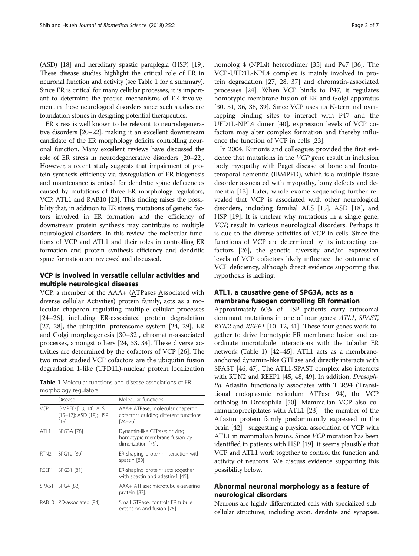(ASD) [\[18](#page-5-0)] and hereditary spastic paraplegia (HSP) [\[19](#page-5-0)]. These disease studies highlight the critical role of ER in neuronal function and activity (see Table 1 for a summary). Since ER is critical for many cellular processes, it is important to determine the precise mechanisms of ER involvement in these neurological disorders since such studies are foundation stones in designing potential therapeutics.

ER stress is well known to be relevant to neurodegenerative disorders [\[20](#page-5-0)–[22](#page-5-0)], making it an excellent downstream candidate of the ER morphology deficits controlling neuronal function. Many excellent reviews have discussed the role of ER stress in neurodegenerative disorders [[20](#page-5-0)–[22](#page-5-0)]. However, a recent study suggests that impairment of protein synthesis efficiency via dysregulation of ER biogenesis and maintenance is critical for dendritic spine deficiencies caused by mutations of three ER morphology regulators, VCP, ATL1 and RAB10 [\[23\]](#page-5-0). This finding raises the possibility that, in addition to ER stress, mutations of genetic factors involved in ER formation and the efficiency of downstream protein synthesis may contribute to multiple neurological disorders. In this review, the molecular functions of VCP and ATL1 and their roles in controlling ER formation and protein synthesis efficiency and dendritic spine formation are reviewed and discussed.

### VCP is involved in versatile cellular activities and multiple neurological diseases

VCP, a member of the AAA+ (ATPases Associated with diverse cellular Activities) protein family, acts as a molecular chaperon regulating multiple cellular processes [[24](#page-5-0)–[26](#page-5-0)], including ER-associated protein degradation [[27, 28\]](#page-5-0), the ubiquitin–proteasome system [\[24](#page-5-0), [29](#page-5-0)], ER and Golgi morphogenesis [\[30](#page-5-0)–[32\]](#page-5-0), chromatin-associated processes, amongst others [\[24](#page-5-0), [33](#page-5-0), [34\]](#page-5-0). These diverse activities are determined by the cofactors of VCP [\[26](#page-5-0)]. The two most studied VCP cofactors are the ubiquitin fusion degradation 1-like (UFD1L)-nuclear protein localization

Table 1 Molecular functions and disease associations of ER morphology regulators

|            | $\cdot$                                                |                                                                                          |
|------------|--------------------------------------------------------|------------------------------------------------------------------------------------------|
|            | Disease                                                | Molecular functions                                                                      |
| <b>VCP</b> | IBMPFD [13, 14]; ALS<br>[15-17]; ASD [18]; HSP<br>[19] | AAA+ ATPase; molecular chaperon;<br>cofactors quiding different functions<br>$[24 - 26]$ |
| $ATI$ 1    | <b>SPG3A [78]</b>                                      | Dynamin-like GTPase; driving<br>homotypic membrane fusion by<br>dimerization [79].       |
| RTN2       | SPG12 [80]                                             | ER shaping protein; interaction with<br>spastin [80].                                    |
|            | REEP1 SPG31 [81]                                       | ER-shaping protein; acts together<br>with spastin and atlastin-1 [45].                   |
|            | SPAST SPG4 [82]                                        | AAA+ ATPase; microtubule-severing<br>protein [83].                                       |
|            | RAB <sub>10</sub> PD-associated [84]                   | Small GTPase; controls ER tubule<br>extension and fusion [75]                            |

homolog 4 (NPL4) heterodimer [[35\]](#page-5-0) and P47 [\[36](#page-5-0)]. The VCP-UFD1L-NPL4 complex is mainly involved in protein degradation [[27, 28](#page-5-0), [37\]](#page-5-0) and chromatin-associated processes [[24\]](#page-5-0). When VCP binds to P47, it regulates homotypic membrane fusion of ER and Golgi apparatus [[30, 31](#page-5-0), [36](#page-5-0), [38, 39](#page-5-0)]. Since VCP uses its N-terminal overlapping binding sites to interact with P47 and the UFD1L-NPL4 dimer [\[40\]](#page-5-0), expression levels of VCP cofactors may alter complex formation and thereby influence the function of VCP in cells [[23\]](#page-5-0).

In 2004, Kimonis and colleagues provided the first evidence that mutations in the VCP gene result in inclusion body myopathy with Paget disease of bone and frontotemporal dementia (IBMPFD), which is a multiple tissue disorder associated with myopathy, bony defects and dementia [[13\]](#page-4-0). Later, whole exome sequencing further revealed that VCP is associated with other neurological disorders, including familial ALS [[15\]](#page-5-0), ASD [\[18\]](#page-5-0), and HSP [[19\]](#page-5-0). It is unclear why mutations in a single gene, VCP, result in various neurological disorders. Perhaps it is due to the diverse activities of VCP in cells. Since the functions of VCP are determined by its interacting cofactors [\[26\]](#page-5-0), the genetic diversity and/or expression levels of VCP cofactors likely influence the outcome of VCP deficiency, although direct evidence supporting this hypothesis is lacking.

### ATL1, a causative gene of SPG3A, acts as a membrane fusogen controlling ER formation

Approximately 60% of HSP patients carry autosomal dominant mutations in one of four genes: ATL1, SPAST, RTN2 and REEP1 [[10](#page-4-0)–[12,](#page-4-0) [41\]](#page-5-0). These four genes work together to drive homotypic ER membrane fusion and coordinate microtubule interactions with the tubular ER network (Table 1) [\[42](#page-5-0)–[45\]](#page-5-0). ATL1 acts as a membraneanchored dynamin-like GTPase and directly interacts with SPAST [\[46, 47\]](#page-5-0). The ATL1-SPAST complex also interacts with RTN2 and REEP1 [\[45](#page-5-0), [48, 49\]](#page-5-0). In addition, Drosophila Atlastin functionally associates with TER94 (Transitional endoplasmic reticulum ATPase 94), the VCP ortholog in Drosophila [[50](#page-5-0)]. Mammalian VCP also coimmunoprecipitates with ATL1 [\[23](#page-5-0)]—the member of the Atlastin protein family predominantly expressed in the brain [[42](#page-5-0)]—suggesting a physical association of VCP with ATL1 in mammalian brains. Since VCP mutation has been identified in patients with HSP [[19](#page-5-0)], it seems plausible that VCP and ATL1 work together to control the function and activity of neurons. We discuss evidence supporting this possibility below.

## Abnormal neuronal morphology as a feature of neurological disorders

Neurons are highly differentiated cells with specialized subcellular structures, including axon, dendrite and synapses.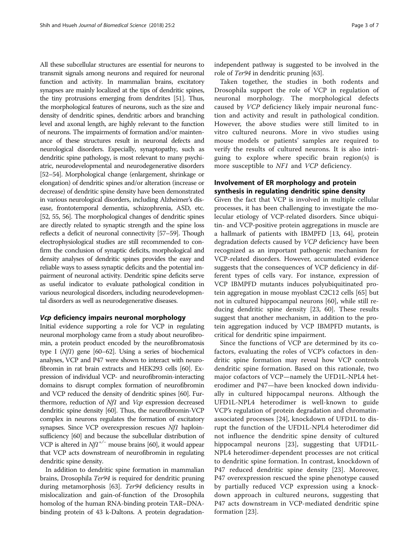All these subcellular structures are essential for neurons to transmit signals among neurons and required for neuronal function and activity. In mammalian brains, excitatory synapses are mainly localized at the tips of dendritic spines, the tiny protrusions emerging from dendrites [\[51\]](#page-5-0). Thus, the morphological features of neurons, such as the size and density of dendritic spines, dendritic arbors and branching level and axonal length, are highly relevant to the function of neurons. The impairments of formation and/or maintenance of these structures result in neuronal defects and neurological disorders. Especially, synaptopathy, such as dendritic spine pathology, is most relevant to many psychiatric, neurodevelopmental and neurodegenerative disorders [[52](#page-5-0)–[54](#page-5-0)]. Morphological change (enlargement, shrinkage or elongation) of dendritic spines and/or alteration (increase or decrease) of dendritic spine density have been demonstrated in various neurological disorders, including Alzheimer's disease, frontotemporal dementia, schizophrenia, ASD, etc. [[52](#page-5-0), [55, 56\]](#page-5-0). The morphological changes of dendritic spines are directly related to synaptic strength and the spine loss reflects a deficit of neuronal connectivity [\[57](#page-5-0)–[59\]](#page-6-0). Though electrophysiological studies are still recommended to confirm the conclusion of synaptic deficits, morphological and density analyses of dendritic spines provides the easy and reliable ways to assess synaptic deficits and the potential impairment of neuronal activity. Dendritic spine deficits serve as useful indicator to evaluate pathological condition in various neurological disorders, including neurodevelopmental disorders as well as neurodegenerative diseases.

### Vcp deficiency impairs neuronal morphology

Initial evidence supporting a role for VCP in regulating neuronal morphology came from a study about neurofibromin, a protein product encoded by the neurofibromatosis type I (Nf1) gene [\[60](#page-6-0)–[62\]](#page-6-0). Using a series of biochemical analyses, VCP and P47 were shown to interact with neurofibromin in rat brain extracts and HEK293 cells [[60](#page-6-0)]. Expression of individual VCP- and neurofibromin-interacting domains to disrupt complex formation of neurofibromin and VCP reduced the density of dendritic spines [\[60](#page-6-0)]. Furthermore, reduction of Nf1 and Vcp expression decreased dendritic spine density [[60](#page-6-0)]. Thus, the neurofibromin-VCP complex in neurons regulates the formation of excitatory synapses. Since VCP overexpression rescues Nf1 haploinsufficiency [\[60\]](#page-6-0) and because the subcellular distribution of VCP is altered in  $Nf1^{+/-}$  mouse brains [\[60](#page-6-0)], it would appear that VCP acts downstream of neurofibromin in regulating dendritic spine density.

In addition to dendritic spine formation in mammalian brains, Drosophila Ter94 is required for dendritic pruning during metamorphosis [\[63\]](#page-6-0). Ter94 deficiency results in mislocalization and gain-of-function of the Drosophila homolog of the human RNA-binding protein TAR–DNAbinding protein of 43 k-Daltons. A protein degradationindependent pathway is suggested to be involved in the role of Ter94 in dendritic pruning [\[63](#page-6-0)].

Taken together, the studies in both rodents and Drosophila support the role of VCP in regulation of neuronal morphology. The morphological defects caused by VCP deficiency likely impair neuronal function and activity and result in pathological condition. However, the above studies were still limited to in vitro cultured neurons. More in vivo studies using mouse models or patients' samples are required to verify the results of cultured neurons. It is also intriguing to explore where specific brain region(s) is more susceptible to NF1 and VCP deficiency.

## Involvement of ER morphology and protein synthesis in regulating dendritic spine density

Given the fact that VCP is involved in multiple cellular processes, it has been challenging to investigate the molecular etiology of VCP-related disorders. Since ubiquitin- and VCP-positive protein aggregations in muscle are a hallmark of patients with IBMPFD [[13,](#page-4-0) [64\]](#page-6-0), protein degradation defects caused by VCP deficiency have been recognized as an important pathogenic mechanism for VCP-related disorders. However, accumulated evidence suggests that the consequences of VCP deficiency in different types of cells vary. For instance, expression of VCP IBMPFD mutants induces polyubiquitinated protein aggregation in mouse myoblast C2C12 cells [[65\]](#page-6-0) but not in cultured hippocampal neurons [[60](#page-6-0)], while still reducing dendritic spine density [\[23,](#page-5-0) [60](#page-6-0)]. These results suggest that another mechanism, in addition to the protein aggregation induced by VCP IBMPFD mutants, is critical for dendritic spine impairment.

Since the functions of VCP are determined by its cofactors, evaluating the roles of VCP's cofactors in dendritic spine formation may reveal how VCP controls dendritic spine formation. Based on this rationale, two major cofactors of VCP—namely the UFD1L-NPL4 heterodimer and P47—have been knocked down individually in cultured hippocampal neurons. Although the UFD1L-NPL4 heterodimer is well-known to guide VCP's regulation of protein degradation and chromatinassociated processes [[24](#page-5-0)], knockdown of UFD1L to disrupt the function of the UFD1L-NPL4 heterodimer did not influence the dendritic spine density of cultured hippocampal neurons [[23\]](#page-5-0), suggesting that UFD1L-NPL4 heterodimer-dependent processes are not critical to dendritic spine formation. In contrast, knockdown of P47 reduced dendritic spine density [\[23](#page-5-0)]. Moreover, P47 overexpression rescued the spine phenotype caused by partially reduced VCP expression using a knockdown approach in cultured neurons, suggesting that P47 acts downstream in VCP-mediated dendritic spine formation [\[23](#page-5-0)].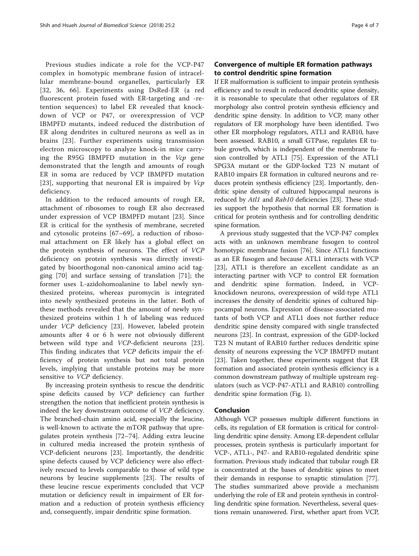Previous studies indicate a role for the VCP-P47 complex in homotypic membrane fusion of intracellular membrane-bound organelles, particularly ER [[32](#page-5-0), [36,](#page-5-0) [66](#page-6-0)]. Experiments using DsRed-ER (a red fluorescent protein fused with ER-targeting and -retention sequences) to label ER revealed that knockdown of VCP or P47, or overexpression of VCP IBMPFD mutants, indeed reduced the distribution of ER along dendrites in cultured neurons as well as in brains [[23\]](#page-5-0). Further experiments using transmission electron microscopy to analyze knock-in mice carrying the R95G IBMPFD mutation in the Vcp gene demonstrated that the length and amounts of rough ER in soma are reduced by VCP IBMPFD mutation [[23](#page-5-0)], supporting that neuronal ER is impaired by  $Vcp$ deficiency.

In addition to the reduced amounts of rough ER, attachment of ribosomes to rough ER also decreased under expression of VCP IBMPFD mutant [[23\]](#page-5-0). Since ER is critical for the synthesis of membrane, secreted and cytosolic proteins [[67](#page-6-0)–[69](#page-6-0)], a reduction of ribosomal attachment on ER likely has a global effect on the protein synthesis of neurons. The effect of VCP deficiency on protein synthesis was directly investigated by bioorthogonal non-canonical amino acid tagging [[70\]](#page-6-0) and surface sensing of translation [[71](#page-6-0)]; the former uses L-azidohomoalanine to label newly synthesized proteins, whereas puromycin is integrated into newly synthesized proteins in the latter. Both of these methods revealed that the amount of newly synthesized proteins within 1 h of labeling was reduced under VCP deficiency [[23\]](#page-5-0). However, labeled protein amounts after 4 or 6 h were not obviously different between wild type and VCP-deficient neurons [[23](#page-5-0)]. This finding indicates that VCP deficits impair the efficiency of protein synthesis but not total protein levels, implying that unstable proteins may be more sensitive to VCP deficiency.

By increasing protein synthesis to rescue the dendritic spine deficits caused by VCP deficiency can further strengthen the notion that inefficient protein synthesis is indeed the key downstream outcome of VCP deficiency. The branched-chain amino acid, especially the leucine, is well-known to activate the mTOR pathway that upregulates protein synthesis [\[72](#page-6-0)–[74\]](#page-6-0). Adding extra leucine in cultured media increased the protein synthesis of VCP-deficient neurons [\[23](#page-5-0)]. Importantly, the dendritic spine defects caused by VCP deficiency were also effectively rescued to levels comparable to those of wild type neurons by leucine supplements [[23\]](#page-5-0). The results of these leucine rescue experiments concluded that VCP mutation or deficiency result in impairment of ER formation and a reduction of protein synthesis efficiency and, consequently, impair dendritic spine formation.

## Convergence of multiple ER formation pathways to control dendritic spine formation

If ER malformation is sufficient to impair protein synthesis efficiency and to result in reduced dendritic spine density, it is reasonable to speculate that other regulators of ER morphology also control protein synthesis efficiency and dendritic spine density. In addition to VCP, many other regulators of ER morphology have been identified. Two other ER morphology regulators, ATL1 and RAB10, have been assessed. RAB10, a small GTPase, regulates ER tubule growth, which is independent of the membrane fusion controlled by ATL1 [\[75\]](#page-6-0). Expression of the ATL1 SPG3A mutant or the GDP-locked T23 N mutant of RAB10 impairs ER formation in cultured neurons and reduces protein synthesis efficiency [\[23\]](#page-5-0). Importantly, dendritic spine density of cultured hippocampal neurons is reduced by Atl1 and Rab10 deficiencies [\[23](#page-5-0)]. These studies support the hypothesis that normal ER formation is critical for protein synthesis and for controlling dendritic spine formation.

A previous study suggested that the VCP-P47 complex acts with an unknown membrane fusogen to control homotypic membrane fusion [\[76](#page-6-0)]. Since ATL1 functions as an ER fusogen and because ATL1 interacts with VCP [[23\]](#page-5-0), ATL1 is therefore an excellent candidate as an interacting partner with VCP to control ER formation and dendritic spine formation. Indeed, in VCPknockdown neurons, overexpression of wild-type ATL1 increases the density of dendritic spines of cultured hippocampal neurons. Expression of disease-associated mutants of both VCP and ATL1 does not further reduce dendritic spine density compared with single transfected neurons [\[23](#page-5-0)]. In contrast, expression of the GDP-locked T23 N mutant of RAB10 further reduces dendritic spine density of neurons expressing the VCP IBMPFD mutant [[23\]](#page-5-0). Taken together, these experiments suggest that ER formation and associated protein synthesis efficiency is a common downstream pathway of multiple upstream regulators (such as VCP-P47-ATL1 and RAB10) controlling dendritic spine formation (Fig. [1\)](#page-4-0).

### Conclusion

Although VCP possesses multiple different functions in cells, its regulation of ER formation is critical for controlling dendritic spine density. Among ER-dependent cellular processes, protein synthesis is particularly important for VCP-, ATL1-, P47- and RAB10-regulated dendritic spine formation. Previous study indicated that tubular rough ER is concentrated at the bases of dendritic spines to meet their demands in response to synaptic stimulation [[77](#page-6-0)]. The studies summarized above provide a mechanism underlying the role of ER and protein synthesis in controlling dendritic spine formation. Nevertheless, several questions remain unanswered. First, whether apart from VCP,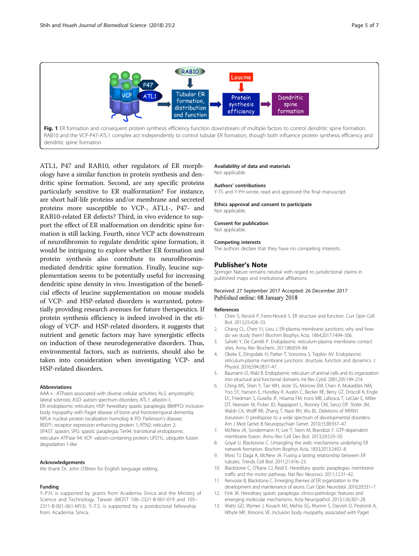<span id="page-4-0"></span>

dendritic spine formation

ATL1, P47 and RAB10, other regulators of ER morphology have a similar function in protein synthesis and dendritic spine formation. Second, are any specific proteins particularly sensitive to ER malformation? For instance, are short half-life proteins and/or membrane and secreted proteins more susceptible to VCP-, ATL1-, P47- and RAB10-related ER defects? Third, in vivo evidence to support the effect of ER malformation on dendritic spine formation is still lacking. Fourth, since VCP acts downstream of neurofibromin to regulate dendritic spine formation, it would be intriguing to explore whether ER formation and protein synthesis also contribute to neurofibrominmediated dendritic spine formation. Finally, leucine supplementation seems to be potentially useful for increasing dendritic spine density in vivo. Investigation of the beneficial effects of leucine supplementation on mouse models of VCP- and HSP-related disorders is warranted, potentially providing research avenues for future therapeutics. If protein synthesis efficiency is indeed involved in the etiology of VCP- and HSP-related disorders, it suggests that nutrient and genetic factors may have synergistic effects on induction of these neurodegenerative disorders. Thus, environmental factors, such as nutrients, should also be taken into consideration when investigating VCP- and HSP-related disorders.

#### Abbreviations

AAA + : ATPases associated with diverse cellular activities; ALS: amyotrophic lateral sclerosis; ASD: autism spectrum disorders; ATL1: atlastin-1; ER: endoplasmic reticulum; HSP: hereditary spastic paraplegia; IBMPFD: inclusion body myopathy with Paget disease of bone and frontotemporal dementia; NPL4: nuclear protein localization homolog 4; PD: Parkinson's disease; REEP1: receptor expression enhancing protein 1; RTN2: reticulon 2; SPAST: spastin; SPG: spastic paraplegia; Ter94: transitional endoplasmic reticulum ATPase 94; VCP: valosin-containing protein; UFD1L: ubiquitin fusion degradation 1-like

#### Acknowledgements

We thank Dr. John O'Brien for English language editing.

### Funding

Y.-P.H. is supported by grants from Academia Sinica and the Ministry of Science and Technology, Taiwan (MOST 106–2321-B-001-019 and 105– 2311-B-001-061-MY3). Y.-T.S. is supported by a postdoctoral fellowship from Academia Sinica.

#### Availability of data and materials Not applicable.

#### Authors' contributions

Y-TS and Y-PH wrote, read and approved the final manuscript.

# Ethics approval and consent to participate

Not applicable.

#### Consent for publication Not applicable.

Competing interests

The authors declare that they have no competing interests.

#### Publisher's Note

Springer Nature remains neutral with regard to jurisdictional claims in published maps and institutional affiliations.

### Received: 27 September 2017 Accepted: 26 December 2017 Published online: 08 January 2018

#### References

- 1. Chen S, Novick P, Ferro-Novick S. ER structure and function. Curr Opin Cell Biol. 2013;25:428–33.
- 2. Chang CL, Chen YJ, Liou J. ER-plasma membrane junctions: why and how do we study them? Biochim Biophys Acta. 1864;2017:1494–506.
- 3. Saheki Y, De Camilli P. Endoplasmic reticulum-plasma membrane contact sites. Annu Rev Biochem. 2017;86:659–84.
- 4. Okeke E, Dingsdale H, Parker T, Voronina S, Tepikin AV. Endoplasmic reticulum-plasma membrane junctions: structure, function and dynamics. J Physiol. 2016;594:2837–47.
- 5. Baumann O, Walz B. Endoplasmic reticulum of animal cells and its organization into structural and functional domains. Int Rev Cytol. 2001;205:149–214.
- 6. Ching MS, Shen Y, Tan WH, Jeste SS, Morrow EM, Chen X, Mukaddes NM, Yoo SY, Hanson E, Hundley R, Austin C, Becker RE, Berry GT, Driscoll K, Engle EC, Friedman S, Gusella JF, Hisama FM, Irons MB, Lafiosca T, LeClair E, Miller DT, Neessen M, Picker JD, Rappaport L, Rooney CM, Sarco DP, Stoler JM, Walsh CA, Wolff RR, Zhang T, Nasir RH, Wu BL. Deletions of NRXN1 (neurexin-1) predispose to a wide spectrum of developmental disorders. Am J Med Genet B Neuropsychiatr Genet. 2010;153B:937–47.
- 7. McNew JA, Sondermann H, Lee T, Stern M, Brandizzi F. GTP-dependent membrane fusion. Annu Rev Cell Dev Biol. 2013;29:529–50.
- 8. Goyal U, Blackstone C. Untangling the web: mechanisms underlying ER network formation. Biochim Biophys Acta. 1833;2013:2492–8.
- 9. Moss TJ, Daga A, McNew JA. Fusing a lasting relationship between ER tubules. Trends Cell Biol. 2011;21:416–23.
- 10. Blackstone C, O'Kane CJ, Reid E. Hereditary spastic paraplegias: membrane traffic and the motor pathway. Nat Rev Neurosci. 2011;12:31–42.
- 11. Renvoise B, Blackstone C. Emerging themes of ER organization in the development and maintenance of axons. Curr Opin Neurobiol. 2010;20:531–7.
- 12. Fink JK. Hereditary spastic paraplegia: clinico-pathologic features and emerging molecular mechanisms. Acta Neuropathol. 2013;126:307–28.
- 13. Watts GD, Wymer J, Kovach MJ, Mehta SG, Mumm S, Darvish D, Pestronk A, Whyte MP, Kimonis VE. Inclusion body myopathy associated with Paget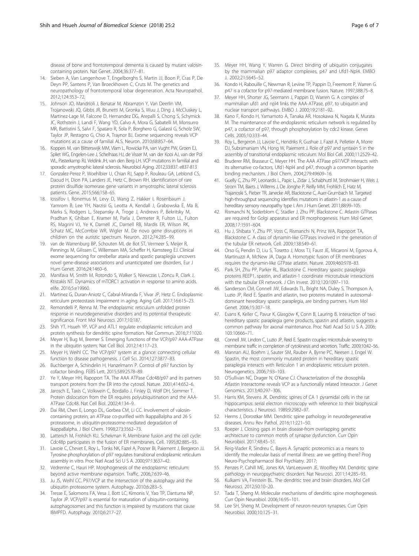<span id="page-5-0"></span>disease of bone and frontotemporal dementia is caused by mutant valosincontaining protein. Nat Genet. 2004;36:377–81.

- 14. Sieben A, Van Langenhove T, Engelborghs S, Martin JJ, Boon P, Cras P, De Deyn PP, Santens P, Van Broeckhoven C, Cruts M. The genetics and neuropathology of frontotemporal lobar degeneration. Acta Neuropathol. 2012;124:353–72.
- 15. Johnson JO, Mandrioli J, Benatar M, Abramzon Y, Van Deerlin VM, Trojanowski JQ, Gibbs JR, Brunetti M, Gronka S, Wuu J, Ding J, McCluskey L, Martinez-Lage M, Falcone D, Hernandez DG, Arepalli S, Chong S, Schymick JC, Rothstein J, Landi F, Wang YD, Calvo A, Mora G, Sabatelli M, Monsurro MR, Battistini S, Salvi F, Spataro R, Sola P, Borghero G, Galassi G, Scholz SW, Taylor JP, Restagno G, Chio A, Traynor BJ. Exome sequencing reveals VCP mutations as a cause of familial ALS. Neuron. 2010;68:857–64.
- 16. Koppers M, van Blitterswijk MM, Vlam L, Rowicka PA, van Vught PW, Groen EJ, Spliet WG, Engelen-Lee J, Schelhaas HJ, de Visser M, van der Kooi AJ, van der Pol WL, Pasterkamp RJ, Veldink JH, van den Berg LH. VCP mutations in familial and sporadic amyotrophic lateral sclerosis. Neurobiol Aging. 2012;33:837. e837-813
- 17. Gonzalez-Perez P, Woehlbier U, Chian RJ, Sapp P, Rouleau GA, Leblond CS, Daoud H, Dion PA, Landers JE, Hetz C, Brown RH. Identification of rare protein disulfide isomerase gene variants in amyotrophic lateral sclerosis patients. Gene. 2015;566:158–65.
- 18. Iossifov I, Ronemus M, Levy D, Wang Z, Hakker I, Rosenbaum J, Yamrom B, Lee YH, Narzisi G, Leotta A, Kendall J, Grabowska E, Ma B, Marks S, Rodgers L, Stepansky A, Troge J, Andrews P, Bekritsky M, Pradhan K, Ghiban E, Kramer M, Parla J, Demeter R, Fulton LL, Fulton RS, Magrini VJ, Ye K, Darnell JC, Darnell RB, Mardis ER, Wilson RK, Schatz MC, McCombie WR, Wigler M. De novo gene disruptions in children on the autistic spectrum. Neuron. 2012;74:285–99.
- 19. van de Warrenburg BP, Schouten MI, de Bot ST, Vermeer S, Meijer R, Pennings M, Gilissen C, Willemsen MA, Scheffer H, Kamsteeg EJ. Clinical exome sequencing for cerebellar ataxia and spastic paraplegia uncovers novel gene-disease associations and unanticipated rare disorders. Eur J Hum Genet. 2016;24:1460–6.
- 20. Manifava M, Smith M, Rotondo S, Walker S, Niewczas I, Zoncu R, Clark J, Ktistakis NT. Dynamics of mTORC1 activation in response to amino acids. elife. 2016;5:e19960.
- 21. Martinez G, Duran-Aniotz C, Cabral-Miranda F, Vivar JP, Hetz C. Endoplasmic reticulum proteostasis impairment in aging. Aging Cell. 2017;16:615–23.
- 22. Remondelli P, Renna M. The endoplasmic reticulum unfolded protein response in neurodegenerative disorders and its potential therapeutic significance. Front Mol Neurosci. 2017;10:187.
- 23. Shih YT, Hsueh YP. VCP and ATL1 regulate endoplasmic reticulum and protein synthesis for dendritic spine formation. Nat Commun. 2016;7:11020.
- 24. Meyer H, Bug M, Bremer S. Emerging functions of the VCP/p97 AAA-ATPase in the ubiquitin system. Nat Cell Biol. 2012;14:117–23.
- 25. Meyer H, Weihl CC. The VCP/p97 system at a glance: connecting cellular function to disease pathogenesis. J Cell Sci. 2014;127:3877–83.
- 26. Buchberger A, Schindelin H, Hanzelmann P. Control of p97 function by cofactor binding. FEBS Lett. 2015;589:2578–89.
- 27. Ye Y, Meyer HH, Rapoport TA. The AAA ATPase Cdc48/p97 and its partners transport proteins from the ER into the cytosol. Nature. 2001;414:652–6.
- 28. Jarosch E, Taxis C, Volkwein C, Bordallo J, Finley D, Wolf DH, Sommer T. Protein dislocation from the ER requires polyubiquitination and the AAA-ATPase Cdc48. Nat Cell Biol. 2002;4:134–9.
- 29. Dai RM, Chen E, Longo DL, Gorbea CM, Li CC. Involvement of valosincontaining protein, an ATPase co-purified with IkappaBalpha and 26 S proteasome, in ubiquitin-proteasome-mediated degradation of IkappaBalpha. J Biol Chem. 1998;273:3562–73.
- 30. Latterich M, Frohlich KU, Schekman R. Membrane fusion and the cell cycle: Cdc48p participates in the fusion of ER membranes. Cell. 1995;82:885–93.
- 31. Lavoie C, Chevet E, Roy L, Tonks NK, Fazel A, Posner BI, Paiement J, Bergeron JJ. Tyrosine phosphorylation of p97 regulates transitional endoplasmic reticulum assembly in vitro. Proc Natl Acad Sci U S A. 2000;97:13637–42.
- 32. Vedrenne C, Hauri HP. Morphogenesis of the endoplasmic reticulum: beyond active membrane expansion. Traffic. 2006;7:639–46.
- 33. Ju JS, Weihl CC. P97/VCP at the intersection of the autophagy and the ubiquitin proteasome system. Autophagy. 2010;6:283–5.
- 34. Tresse E, Salomons FA, Vesa J, Bott LC, Kimonis V, Yao TP, Dantuma NP, Taylor JP. VCP/p97 is essential for maturation of ubiquitin-containing autophagosomes and this function is impaired by mutations that cause IBMPFD. Autophagy. 2010;6:217–27.
- 35. Meyer HH, Wang Y, Warren G. Direct binding of ubiquitin conjugates by the mammalian p97 adaptor complexes, p47 and Ufd1-Npl4. EMBO J. 2002;21:5645–52.
- 36. Kondo H, Rabouille C, Newman R, Levine TP, Pappin D, Freemont P, Warren G. p47 is a cofactor for p97-mediated membrane fusion. Nature. 1997;388:75–8.
- 37. Meyer HH, Shorter JG, Seemann J, Pappin D, Warren G. A complex of mammalian ufd1 and npl4 links the AAA-ATPase, p97, to ubiquitin and nuclear transport pathways. EMBO J. 2000;19:2181–92.
- 38. Kano F, Kondo H, Yamamoto A, Tanaka AR, Hosokawa N, Nagata K, Murata M. The maintenance of the endoplasmic reticulum network is regulated by p47, a cofactor of p97, through phosphorylation by cdc2 kinase. Genes Cells. 2005;10:333–44.
- 39. Roy L, Bergeron JJ, Lavoie C, Hendriks R, Gushue J, Fazel A, Pelletier A, Morre DJ, Subramaniam VN, Hong W, Paiement J. Role of p97 and syntaxin 5 in the assembly of transitional endoplasmic reticulum. Mol Biol Cell. 2000;11:2529–42.
- 40. Bruderer RM, Brasseur C, Meyer HH. The AAA ATPase p97/VCP interacts with its alternative co-factors, Ufd1-Npl4 and p47, through a common bipartite binding mechanism. J Biol Chem. 2004;279:49609–16.
- 41. Guelly C, Zhu PP, Leonardis L, Papic L, Zidar J, Schabhuttl M, Strohmaier H, Weis J, Strom TM, Baets J, Willems J, De Jonghe P, Reilly MM, Frohlich E, Hatz M, Trajanoski S, Pieber TR, Janecke AR, Blackstone C, Auer-Grumbach M. Targeted high-throughput sequencing identifies mutations in atlastin-1 as a cause of hereditary sensory neuropathy type I. Am J Hum Genet. 2011;88:99-105.
- 42. Rismanchi N, Soderblom C, Stadler J, Zhu PP, Blackstone C. Atlastin GTPases are required for Golgi apparatus and ER morphogenesis. Hum Mol Genet. 2008;17:1591–604.
- 43. Hu J, Shibata Y, Zhu PP, Voss C, Rismanchi N, Prinz WA, Rapoport TA, Blackstone C. A class of dynamin-like GTPases involved in the generation of the tubular ER network. Cell. 2009;138:549–61.
- 44. Orso G, Pendin D, Liu S, Tosetto J, Moss TJ, Faust JE, Micaroni M, Egorova A, Martinuzzi A, McNew JA, Daga A. Homotypic fusion of ER membranes requires the dynamin-like GTPase atlastin. Nature. 2009;460:978–83.
- 45. Park SH, Zhu PP, Parker RL, Blackstone C. Hereditary spastic paraplegia proteins REEP1, spastin, and atlastin-1 coordinate microtubule interactions with the tubular ER network. J Clin Invest. 2010;120:1097–110.
- Sanderson CM, Connell JW, Edwards TL, Bright NA, Duley S, Thompson A, Luzio JP, Reid E. Spastin and atlastin, two proteins mutated in autosomaldominant hereditary spastic paraplegia, are binding partners. Hum Mol Genet. 2006;15:307–18.
- 47. Evans K, Keller C, Pavur K, Glasgow K, Conn B, Lauring B. Interaction of two hereditary spastic paraplegia gene products, spastin and atlastin, suggests a common pathway for axonal maintenance. Proc Natl Acad Sci U S A. 2006; 103:10666–71.
- 48. Connell JW, Lindon C, Luzio JP, Reid E. Spastin couples microtubule severing to membrane traffic in completion of cytokinesis and secretion. Traffic. 2009;10:42–56.
- 49. Mannan AU, Boehm J, Sauter SM, Rauber A, Byrne PC, Neesen J, Engel W. Spastin, the most commonly mutated protein in hereditary spastic paraplegia interacts with Reticulon 1 an endoplasmic reticulum protein. Neurogenetics. 2006;7:93–103.
- 50. O'Sullivan NC, Drager N, O'Kane CJ. Characterization of the drosophila Atlastin Interactome reveals VCP as a functionally related Interactor. J Genet Genomics. 2013;40:297–306.
- 51. Harris KM, Stevens JK. Dendritic spines of CA 1 pyramidal cells in the rat hippocampus: serial electron microscopy with reference to their biophysical characteristics. J Neurosci. 1989;9:2982–97.
- 52. Herms J, Dorostkar MM. Dendritic spine pathology in neurodegenerative diseases. Annu Rev Pathol. 2016;11:221–50.
- 53. Roeper J. Closing gaps in brain disease-from overlapping genetic architecture to common motifs of synapse dysfunction. Curr Opin Neurobiol. 2017;48:45–51.
- 54. Reig-Viader R, Sindreu C, Bayes A. Synaptic proteomics as a means to identify the molecular basis of mental illness: are we getting there? Prog Neuro-Psychopharmacol Biol Psychiatry. 2017;
- 55. Penzes P, Cahill ME, Jones KA, VanLeeuwen JE, Woolfrey KM. Dendritic spine pathology in neuropsychiatric disorders. Nat Neurosci. 2011;14:285–93.
- 56. Kulkarni VA, Firestein BL. The dendritic tree and brain disorders. Mol Cell Neurosci. 2012;50:10–20.
- 57. Tada T, Sheng M. Molecular mechanisms of dendritic spine morphogenesis. Curr Opin Neurobiol. 2006;16:95–101.
- 58. Lee SH, Sheng M. Development of neuron-neuron synapses. Curr Opin Neurobiol. 2000;10:125–31.